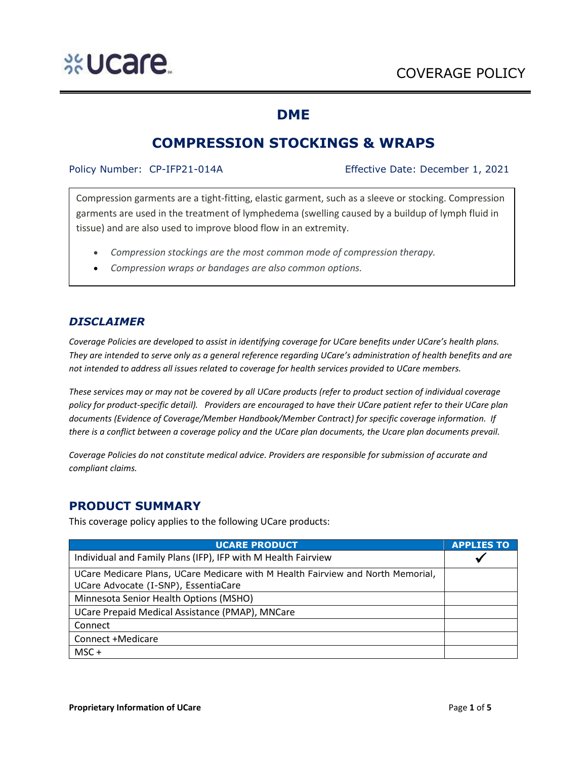### **DME**

## **COMPRESSION STOCKINGS & WRAPS**

Policy Number: CP-IFP21-014A Effective Date: December 1, 2021

Compression garments are a tight-fitting, elastic garment, such as a sleeve or stocking. Compression garments are used in the treatment of lymphedema (swelling caused by a buildup of lymph fluid in tissue) and are also used to improve blood flow in an extremity.

- *Compression stockings are the most common mode of compression therapy.*
- *Compression wraps or bandages are also common options.*

### *DISCLAIMER*

*Coverage Policies are developed to assist in identifying coverage for UCare benefits under UCare's health plans. They are intended to serve only as a general reference regarding UCare's administration of health benefits and are not intended to address all issues related to coverage for health services provided to UCare members.*

*These services may or may not be covered by all UCare products (refer to product section of individual coverage policy for product-specific detail). Providers are encouraged to have their UCare patient refer to their UCare plan documents (Evidence of Coverage/Member Handbook/Member Contract) for specific coverage information. If there is a conflict between a coverage policy and the UCare plan documents, the Ucare plan documents prevail.* 

*Coverage Policies do not constitute medical advice. Providers are responsible for submission of accurate and compliant claims.* 

### **PRODUCT SUMMARY**

This coverage policy applies to the following UCare products:

| <b>UCARE PRODUCT</b>                                                            | <b>APPLIES TO</b> |
|---------------------------------------------------------------------------------|-------------------|
| Individual and Family Plans (IFP), IFP with M Health Fairview                   |                   |
| UCare Medicare Plans, UCare Medicare with M Health Fairview and North Memorial, |                   |
| UCare Advocate (I-SNP), EssentiaCare                                            |                   |
| Minnesota Senior Health Options (MSHO)                                          |                   |
| UCare Prepaid Medical Assistance (PMAP), MNCare                                 |                   |
| Connect                                                                         |                   |
| Connect +Medicare                                                               |                   |
| $MSC +$                                                                         |                   |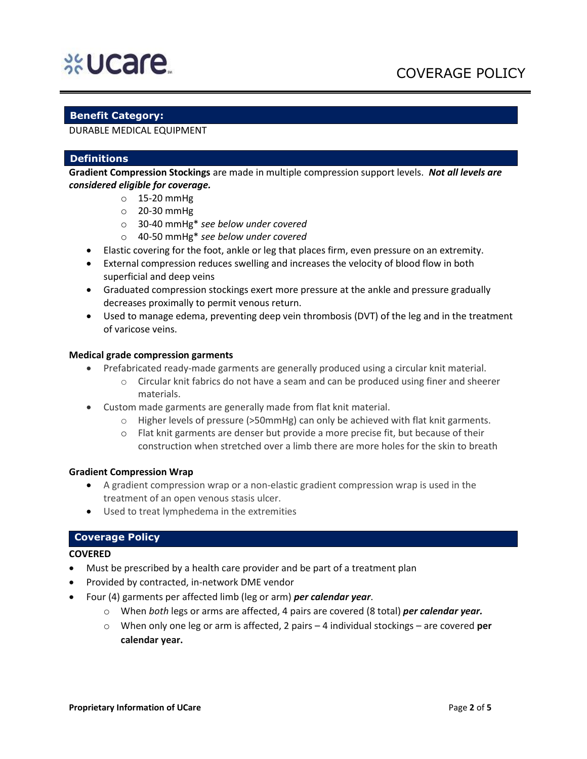# **%Ucare**

# COVERAGE POLICY

#### **Benefit Category:**

DURABLE MEDICAL EQUIPMENT

#### **Definitions**

**Gradient Compression Stockings** are made in multiple compression support levels. *Not all levels are considered eligible for coverage.* 

- o 15-20 mmHg
- o 20-30 mmHg
- o 30-40 mmHg\* *see below under covered*
- o 40-50 mmHg\* *see below under covered*
- Elastic covering for the foot, ankle or leg that places firm, even pressure on an extremity.
- External compression reduces swelling and increases the velocity of blood flow in both superficial and deep veins
- Graduated compression stockings exert more pressure at the ankle and pressure gradually decreases proximally to permit venous return.
- Used to manage edema, preventing deep vein thrombosis (DVT) of the leg and in the treatment of varicose veins.

#### **Medical grade compression garments**

- Prefabricated ready-made garments are generally produced using a circular knit material.
	- $\circ$  Circular knit fabrics do not have a seam and can be produced using finer and sheerer materials.
- Custom made garments are generally made from flat knit material.
	- $\circ$  Higher levels of pressure (>50mmHg) can only be achieved with flat knit garments.
	- o Flat knit garments are denser but provide a more precise fit, but because of their construction when stretched over a limb there are more holes for the skin to breath

#### **Gradient Compression Wrap**

- A gradient compression wrap or a non-elastic gradient compression wrap is used in the treatment of an open venous stasis ulcer.
- Used to treat lymphedema in the extremities

#### **Coverage Policy**

#### **COVERED**

- Must be prescribed by a health care provider and be part of a treatment plan
- Provided by contracted, in-network DME vendor
- Four (4) garments per affected limb (leg or arm) *per calendar year*.
	- o When *both* legs or arms are affected, 4 pairs are covered (8 total) *per calendar year.*
	- o When only one leg or arm is affected, 2 pairs 4 individual stockings are covered **per calendar year.**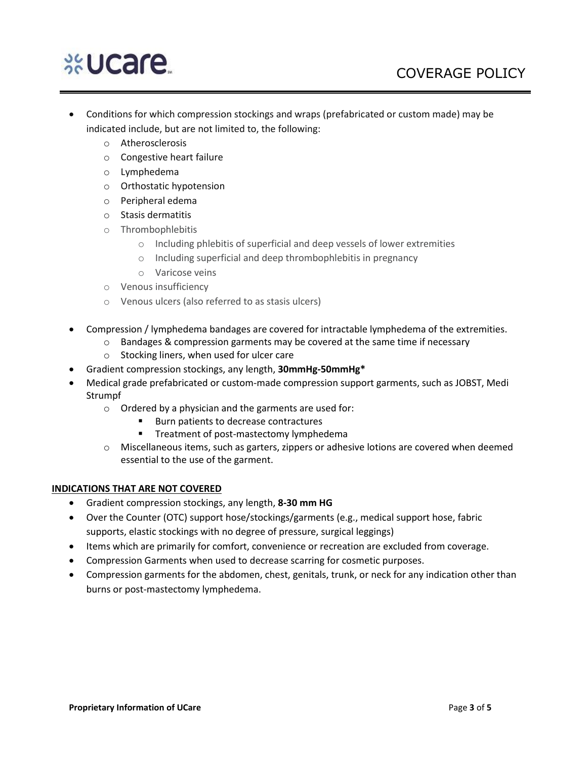# **%Ucare**

- Conditions for which compression stockings and wraps (prefabricated or custom made) may be indicated include, but are not limited to, the following:
	- o Atherosclerosis
	- o Congestive heart failure
	- o Lymphedema
	- o Orthostatic hypotension
	- o Peripheral edema
	- o Stasis dermatitis
	- o Thrombophlebitis
		- o Including phlebitis of superficial and deep vessels of lower extremities
		- o Including superficial and deep thrombophlebitis in pregnancy
		- o Varicose veins
	- o Venous insufficiency
	- o Venous ulcers (also referred to as stasis ulcers)
- Compression / lymphedema bandages are covered for intractable lymphedema of the extremities.
	- $\circ$  Bandages & compression garments may be covered at the same time if necessary
	- o Stocking liners, when used for ulcer care
- Gradient compression stockings, any length, **30mmHg-50mmHg\***
- Medical grade prefabricated or custom-made compression support garments, such as JOBST, Medi Strumpf
	- o Ordered by a physician and the garments are used for:
		- Burn patients to decrease contractures
		- **■** Treatment of post-mastectomy lymphedema
	- o Miscellaneous items, such as garters, zippers or adhesive lotions are covered when deemed essential to the use of the garment.

#### **INDICATIONS THAT ARE NOT COVERED**

- Gradient compression stockings, any length, **8-30 mm HG**
- Over the Counter (OTC) support hose/stockings/garments (e.g., medical support hose, fabric supports, elastic stockings with no degree of pressure, surgical leggings)
- Items which are primarily for comfort, convenience or recreation are excluded from coverage.
- Compression Garments when used to decrease scarring for cosmetic purposes.
- Compression garments for the abdomen, chest, genitals, trunk, or neck for any indication other than burns or post-mastectomy lymphedema.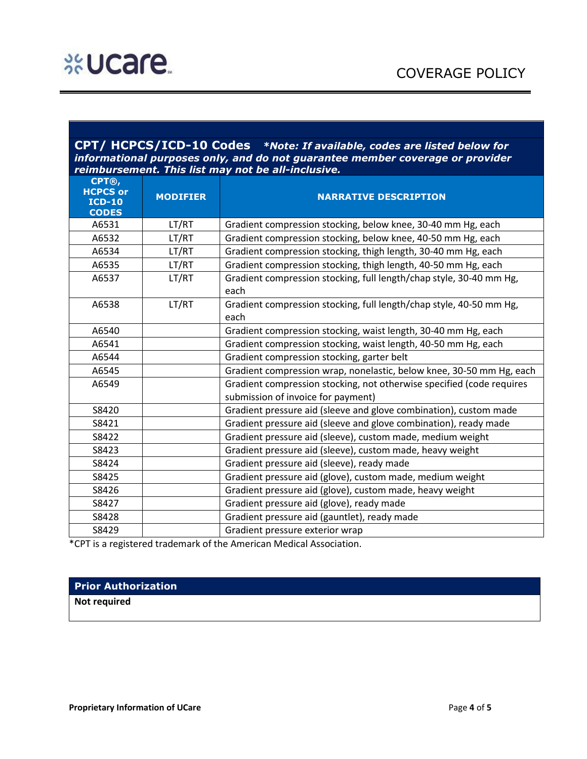#### **CPT/ HCPCS/ICD-10 Codes** *\*Note: If available, codes are listed below for informational purposes only, and do not guarantee member coverage or provider reimbursement. This list may not be all-inclusive.*

| CPT®,<br><b>HCPCS or</b><br><b>ICD-10</b><br><b>CODES</b> | <b>MODIFIER</b> | <b>NARRATIVE DESCRIPTION</b>                                                |
|-----------------------------------------------------------|-----------------|-----------------------------------------------------------------------------|
| A6531                                                     | LT/RT           | Gradient compression stocking, below knee, 30-40 mm Hg, each                |
| A6532                                                     | LT/RT           | Gradient compression stocking, below knee, 40-50 mm Hg, each                |
| A6534                                                     | LT/RT           | Gradient compression stocking, thigh length, 30-40 mm Hg, each              |
| A6535                                                     | LT/RT           | Gradient compression stocking, thigh length, 40-50 mm Hg, each              |
| A6537                                                     | LT/RT           | Gradient compression stocking, full length/chap style, 30-40 mm Hg,<br>each |
| A6538                                                     | LT/RT           | Gradient compression stocking, full length/chap style, 40-50 mm Hg,<br>each |
| A6540                                                     |                 | Gradient compression stocking, waist length, 30-40 mm Hg, each              |
| A6541                                                     |                 | Gradient compression stocking, waist length, 40-50 mm Hg, each              |
| A6544                                                     |                 | Gradient compression stocking, garter belt                                  |
| A6545                                                     |                 | Gradient compression wrap, nonelastic, below knee, 30-50 mm Hg, each        |
| A6549                                                     |                 | Gradient compression stocking, not otherwise specified (code requires       |
|                                                           |                 | submission of invoice for payment)                                          |
| S8420                                                     |                 | Gradient pressure aid (sleeve and glove combination), custom made           |
| S8421                                                     |                 | Gradient pressure aid (sleeve and glove combination), ready made            |
| S8422                                                     |                 | Gradient pressure aid (sleeve), custom made, medium weight                  |
| S8423                                                     |                 | Gradient pressure aid (sleeve), custom made, heavy weight                   |
| S8424                                                     |                 | Gradient pressure aid (sleeve), ready made                                  |
| S8425                                                     |                 | Gradient pressure aid (glove), custom made, medium weight                   |
| S8426                                                     |                 | Gradient pressure aid (glove), custom made, heavy weight                    |
| S8427                                                     |                 | Gradient pressure aid (glove), ready made                                   |
| S8428                                                     |                 | Gradient pressure aid (gauntlet), ready made                                |
| S8429                                                     |                 | Gradient pressure exterior wrap                                             |

\*CPT is a registered trademark of the American Medical Association.

#### **Prior Authorization**

**Not required**